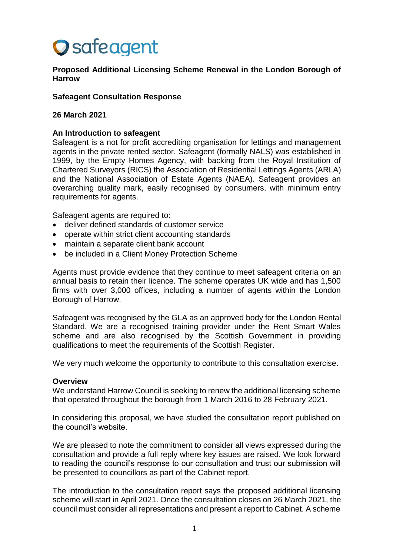# **O** safeagent

**Proposed Additional Licensing Scheme Renewal in the London Borough of Harrow**

## **Safeagent Consultation Response**

## **26 March 2021**

## **An Introduction to safeagent**

Safeagent is a not for profit accrediting organisation for lettings and management agents in the private rented sector. Safeagent (formally NALS) was established in 1999, by the Empty Homes Agency, with backing from the Royal Institution of Chartered Surveyors (RICS) the Association of Residential Lettings Agents (ARLA) and the National Association of Estate Agents (NAEA). Safeagent provides an overarching quality mark, easily recognised by consumers, with minimum entry requirements for agents.

Safeagent agents are required to:

- deliver defined standards of customer service
- operate within strict client accounting standards
- maintain a separate client bank account
- be included in a Client Money Protection Scheme

Agents must provide evidence that they continue to meet safeagent criteria on an annual basis to retain their licence. The scheme operates UK wide and has 1,500 firms with over 3,000 offices, including a number of agents within the London Borough of Harrow.

Safeagent was recognised by the GLA as an approved body for the London Rental Standard. We are a recognised training provider under the Rent Smart Wales scheme and are also recognised by the Scottish Government in providing qualifications to meet the requirements of the Scottish Register.

We very much welcome the opportunity to contribute to this consultation exercise.

#### **Overview**

We understand Harrow Council is seeking to renew the additional licensing scheme that operated throughout the borough from 1 March 2016 to 28 February 2021.

In considering this proposal, we have studied the consultation report published on the council's website.

We are pleased to note the commitment to consider all views expressed during the consultation and provide a full reply where key issues are raised. We look forward to reading the council's response to our consultation and trust our submission will be presented to councillors as part of the Cabinet report.

The introduction to the consultation report says the proposed additional licensing scheme will start in April 2021. Once the consultation closes on 26 March 2021, the council must consider all representations and present a report to Cabinet. A scheme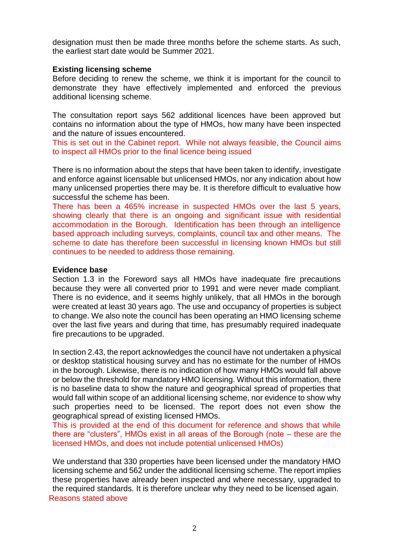designation must then be made three months before the scheme starts. As such, the earliest start date would be Summer 2021.

## **Existing licensing scheme**

Before deciding to renew the scheme, we think it is important for the council to demonstrate they have effectively implemented and enforced the previous additional licensing scheme.

The consultation report says 562 additional licences have been approved but contains no information about the type of HMOs, how many have been inspected and the nature of issues encountered.

This is set out in the Cabinet report. While not always feasible, the Council aims to inspect all HMOs prior to the final licence being issued

There is no information about the steps that have been taken to identify, investigate and enforce against licensable but unlicensed HMOs, nor any indication about how many unlicensed properties there may be. It is therefore difficult to evaluative how successful the scheme has been.

There has been a 465% increase in suspected HMOs over the last 5 years, showing clearly that there is an ongoing and significant issue with residential accommodation in the Borough. Identification has been through an intelligence based approach including surveys, complaints, council tax and other means. The scheme to date has therefore been successful in licensing known HMOs but still continues to be needed to address those remaining.

#### **Evidence base**

Section 1.3 in the Foreword says all HMOs have inadequate fire precautions because they were all converted prior to 1991 and were never made compliant. There is no evidence, and it seems highly unlikely, that all HMOs in the borough were created at least 30 years ago. The use and occupancy of properties is subject to change. We also note the council has been operating an HMO licensing scheme over the last five years and during that time, has presumably required inadequate fire precautions to be upgraded.

In section 2.43, the report acknowledges the council have not undertaken a physical or desktop statistical housing survey and has no estimate for the number of HMOs in the borough. Likewise, there is no indication of how many HMOs would fall above or below the threshold for mandatory HMO licensing. Without this information, there is no baseline data to show the nature and geographical spread of properties that would fall within scope of an additional licensing scheme, nor evidence to show why such properties need to be licensed. The report does not even show the geographical spread of existing licensed HMOs.

This is provided at the end of this document for reference and shows that while there are "clusters", HMOs exist in all areas of the Borough (note – these are the licensed HMOs, and does not include potential unlicensed HMOs)

We understand that 330 properties have been licensed under the mandatory HMO licensing scheme and 562 under the additional licensing scheme. The report implies these properties have already been inspected and where necessary, upgraded to the required standards. It is therefore unclear why they need to be licensed again. Reasons stated above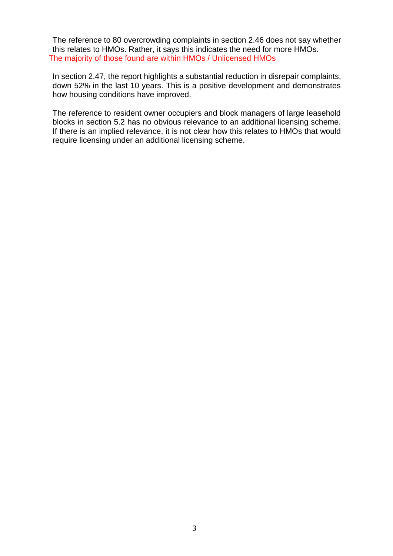The reference to 80 overcrowding complaints in section 2.46 does not say whether this relates to HMOs. Rather, it says this indicates the need for more HMOs. The majority of those found are within HMOs / Unlicensed HMOs

In section 2.47, the report highlights a substantial reduction in disrepair complaints, down 52% in the last 10 years. This is a positive development and demonstrates how housing conditions have improved.

The reference to resident owner occupiers and block managers of large leasehold blocks in section 5.2 has no obvious relevance to an additional licensing scheme. If there is an implied relevance, it is not clear how this relates to HMOs that would require licensing under an additional licensing scheme.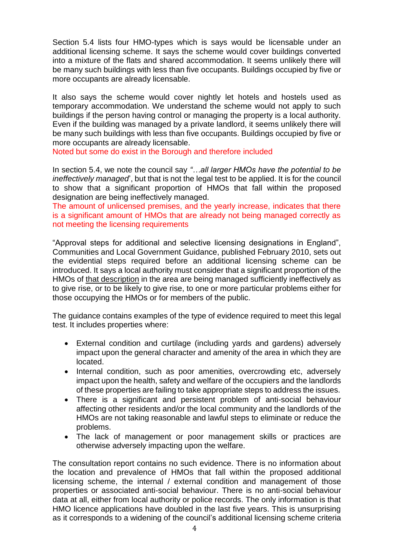Section 5.4 lists four HMO-types which is says would be licensable under an additional licensing scheme. It says the scheme would cover buildings converted into a mixture of the flats and shared accommodation. It seems unlikely there will be many such buildings with less than five occupants. Buildings occupied by five or more occupants are already licensable.

It also says the scheme would cover nightly let hotels and hostels used as temporary accommodation. We understand the scheme would not apply to such buildings if the person having control or managing the property is a local authority. Even if the building was managed by a private landlord, it seems unlikely there will be many such buildings with less than five occupants. Buildings occupied by five or more occupants are already licensable.

Noted but some do exist in the Borough and therefore included

In section 5.4, we note the council say *"…all larger HMOs have the potential to be ineffectively managed*', but that is not the legal test to be applied. It is for the council to show that a significant proportion of HMOs that fall within the proposed designation are being ineffectively managed.

The amount of unlicensed premises, and the yearly increase, indicates that there is a significant amount of HMOs that are already not being managed correctly as not meeting the licensing requirements

"Approval steps for additional and selective licensing designations in England", Communities and Local Government Guidance, published February 2010, sets out the evidential steps required before an additional licensing scheme can be introduced. It says a local authority must consider that a significant proportion of the HMOs of that description in the area are being managed sufficiently ineffectively as to give rise, or to be likely to give rise, to one or more particular problems either for those occupying the HMOs or for members of the public.

The guidance contains examples of the type of evidence required to meet this legal test. It includes properties where:

- External condition and curtilage (including yards and gardens) adversely impact upon the general character and amenity of the area in which they are located.
- Internal condition, such as poor amenities, overcrowding etc, adversely impact upon the health, safety and welfare of the occupiers and the landlords of these properties are failing to take appropriate steps to address the issues.
- There is a significant and persistent problem of anti-social behaviour affecting other residents and/or the local community and the landlords of the HMOs are not taking reasonable and lawful steps to eliminate or reduce the problems.
- The lack of management or poor management skills or practices are otherwise adversely impacting upon the welfare.

The consultation report contains no such evidence. There is no information about the location and prevalence of HMOs that fall within the proposed additional licensing scheme, the internal / external condition and management of those properties or associated anti-social behaviour. There is no anti-social behaviour data at all, either from local authority or police records. The only information is that HMO licence applications have doubled in the last five years. This is unsurprising as it corresponds to a widening of the council's additional licensing scheme criteria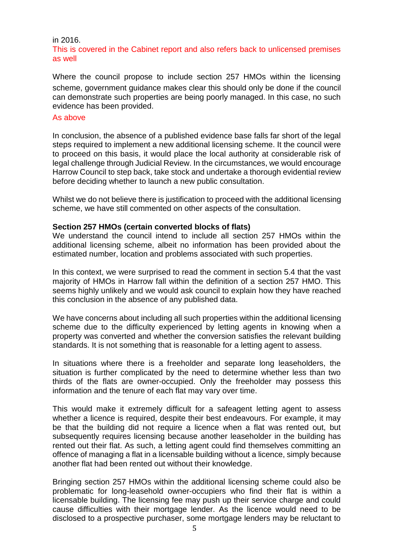#### in 2016.

# This is covered in the Cabinet report and also refers back to unlicensed premises as well

Where the council propose to include section 257 HMOs within the licensing scheme, government guidance makes clear this should only be done if the council can demonstrate such properties are being poorly managed. In this case, no such evidence has been provided.

#### As above

In conclusion, the absence of a published evidence base falls far short of the legal steps required to implement a new additional licensing scheme. It the council were to proceed on this basis, it would place the local authority at considerable risk of legal challenge through Judicial Review. In the circumstances, we would encourage Harrow Council to step back, take stock and undertake a thorough evidential review before deciding whether to launch a new public consultation.

Whilst we do not believe there is justification to proceed with the additional licensing scheme, we have still commented on other aspects of the consultation.

## **Section 257 HMOs (certain converted blocks of flats)**

We understand the council intend to include all section 257 HMOs within the additional licensing scheme, albeit no information has been provided about the estimated number, location and problems associated with such properties.

In this context, we were surprised to read the comment in section 5.4 that the vast majority of HMOs in Harrow fall within the definition of a section 257 HMO. This seems highly unlikely and we would ask council to explain how they have reached this conclusion in the absence of any published data.

We have concerns about including all such properties within the additional licensing scheme due to the difficulty experienced by letting agents in knowing when a property was converted and whether the conversion satisfies the relevant building standards. It is not something that is reasonable for a letting agent to assess.

In situations where there is a freeholder and separate long leaseholders, the situation is further complicated by the need to determine whether less than two thirds of the flats are owner-occupied. Only the freeholder may possess this information and the tenure of each flat may vary over time.

This would make it extremely difficult for a safeagent letting agent to assess whether a licence is required, despite their best endeavours. For example, it may be that the building did not require a licence when a flat was rented out, but subsequently requires licensing because another leaseholder in the building has rented out their flat. As such, a letting agent could find themselves committing an offence of managing a flat in a licensable building without a licence, simply because another flat had been rented out without their knowledge.

Bringing section 257 HMOs within the additional licensing scheme could also be problematic for long-leasehold owner-occupiers who find their flat is within a licensable building. The licensing fee may push up their service charge and could cause difficulties with their mortgage lender. As the licence would need to be disclosed to a prospective purchaser, some mortgage lenders may be reluctant to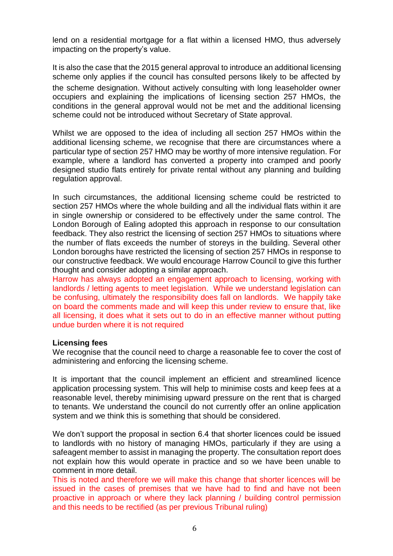lend on a residential mortgage for a flat within a licensed HMO, thus adversely impacting on the property's value.

It is also the case that the 2015 general approval to introduce an additional licensing scheme only applies if the council has consulted persons likely to be affected by the scheme designation. Without actively consulting with long leaseholder owner occupiers and explaining the implications of licensing section 257 HMOs, the conditions in the general approval would not be met and the additional licensing scheme could not be introduced without Secretary of State approval.

Whilst we are opposed to the idea of including all section 257 HMOs within the additional licensing scheme, we recognise that there are circumstances where a particular type of section 257 HMO may be worthy of more intensive regulation. For example, where a landlord has converted a property into cramped and poorly designed studio flats entirely for private rental without any planning and building regulation approval.

In such circumstances, the additional licensing scheme could be restricted to section 257 HMOs where the whole building and all the individual flats within it are in single ownership or considered to be effectively under the same control. The London Borough of Ealing adopted this approach in response to our consultation feedback. They also restrict the licensing of section 257 HMOs to situations where the number of flats exceeds the number of storeys in the building. Several other London boroughs have restricted the licensing of section 257 HMOs in response to our constructive feedback. We would encourage Harrow Council to give this further thought and consider adopting a similar approach.

Harrow has always adopted an engagement approach to licensing, working with landlords / letting agents to meet legislation. While we understand legislation can be confusing, ultimately the responsibility does fall on landlords. We happily take on board the comments made and will keep this under review to ensure that, like all licensing, it does what it sets out to do in an effective manner without putting undue burden where it is not required

# **Licensing fees**

We recognise that the council need to charge a reasonable fee to cover the cost of administering and enforcing the licensing scheme.

It is important that the council implement an efficient and streamlined licence application processing system. This will help to minimise costs and keep fees at a reasonable level, thereby minimising upward pressure on the rent that is charged to tenants. We understand the council do not currently offer an online application system and we think this is something that should be considered.

We don't support the proposal in section 6.4 that shorter licences could be issued to landlords with no history of managing HMOs, particularly if they are using a safeagent member to assist in managing the property. The consultation report does not explain how this would operate in practice and so we have been unable to comment in more detail.

This is noted and therefore we will make this change that shorter licences will be issued in the cases of premises that we have had to find and have not been proactive in approach or where they lack planning / building control permission and this needs to be rectified (as per previous Tribunal ruling)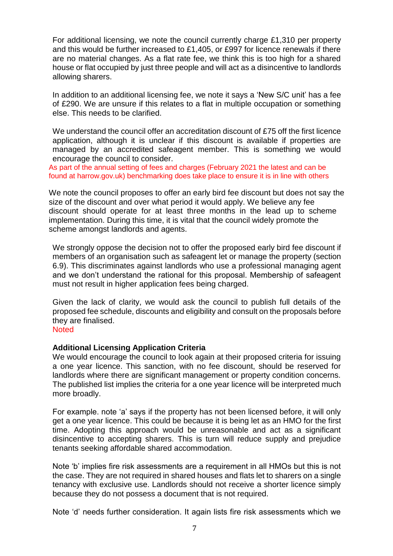For additional licensing, we note the council currently charge £1,310 per property and this would be further increased to £1,405, or £997 for licence renewals if there are no material changes. As a flat rate fee, we think this is too high for a shared house or flat occupied by just three people and will act as a disincentive to landlords allowing sharers.

In addition to an additional licensing fee, we note it says a 'New S/C unit' has a fee of £290. We are unsure if this relates to a flat in multiple occupation or something else. This needs to be clarified.

We understand the council offer an accreditation discount of £75 off the first licence application, although it is unclear if this discount is available if properties are managed by an accredited safeagent member. This is something we would encourage the council to consider.

As part of the annual setting of fees and charges (February 2021 the latest and can be found at harrow.gov.uk) benchmarking does take place to ensure it is in line with others

We note the council proposes to offer an early bird fee discount but does not say the size of the discount and over what period it would apply. We believe any fee discount should operate for at least three months in the lead up to scheme implementation. During this time, it is vital that the council widely promote the scheme amongst landlords and agents.

We strongly oppose the decision not to offer the proposed early bird fee discount if members of an organisation such as safeagent let or manage the property (section 6.9). This discriminates against landlords who use a professional managing agent and we don't understand the rational for this proposal. Membership of safeagent must not result in higher application fees being charged.

Given the lack of clarity, we would ask the council to publish full details of the proposed fee schedule, discounts and eligibility and consult on the proposals before they are finalised.

## **Noted**

# **Additional Licensing Application Criteria**

We would encourage the council to look again at their proposed criteria for issuing a one year licence. This sanction, with no fee discount, should be reserved for landlords where there are significant management or property condition concerns. The published list implies the criteria for a one year licence will be interpreted much more broadly.

For example. note 'a' says if the property has not been licensed before, it will only get a one year licence. This could be because it is being let as an HMO for the first time. Adopting this approach would be unreasonable and act as a significant disincentive to accepting sharers. This is turn will reduce supply and prejudice tenants seeking affordable shared accommodation.

Note 'b' implies fire risk assessments are a requirement in all HMOs but this is not the case. They are not required in shared houses and flats let to sharers on a single tenancy with exclusive use. Landlords should not receive a shorter licence simply because they do not possess a document that is not required.

Note 'd' needs further consideration. It again lists fire risk assessments which we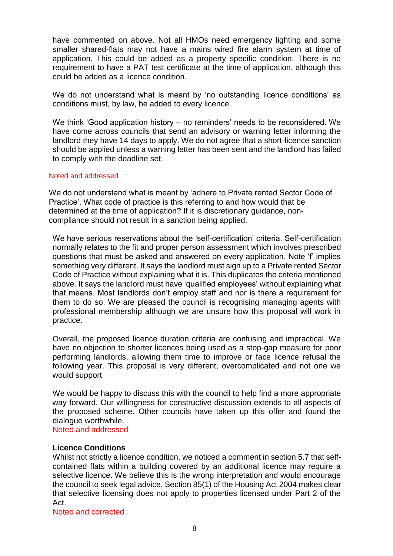have commented on above. Not all HMOs need emergency lighting and some smaller shared-flats may not have a mains wired fire alarm system at time of application. This could be added as a property specific condition. There is no requirement to have a PAT test certificate at the time of application, although this could be added as a licence condition.

We do not understand what is meant by 'no outstanding licence conditions' as conditions must, by law, be added to every licence.

We think 'Good application history – no reminders' needs to be reconsidered. We have come across councils that send an advisory or warning letter informing the landlord they have 14 days to apply. We do not agree that a short-licence sanction should be applied unless a warning letter has been sent and the landlord has failed to comply with the deadline set.

## Noted and addressed

We do not understand what is meant by 'adhere to Private rented Sector Code of Practice'. What code of practice is this referring to and how would that be determined at the time of application? If it is discretionary guidance, noncompliance should not result in a sanction being applied.

We have serious reservations about the 'self-certification' criteria. Self-certification normally relates to the fit and proper person assessment which involves prescribed questions that must be asked and answered on every application. Note 'f' implies something very different. It says the landlord must sign up to a Private rented Sector Code of Practice without explaining what it is. This duplicates the criteria mentioned above. It says the landlord must have 'qualified employees' without explaining what that means. Most landlords don't employ staff and nor is there a requirement for them to do so. We are pleased the council is recognising managing agents with professional membership although we are unsure how this proposal will work in practice.

Overall, the proposed licence duration criteria are confusing and impractical. We have no objection to shorter licences being used as a stop-gap measure for poor performing landlords, allowing them time to improve or face licence refusal the following year. This proposal is very different, overcomplicated and not one we would support.

We would be happy to discuss this with the council to help find a more appropriate way forward. Our willingness for constructive discussion extends to all aspects of the proposed scheme. Other councils have taken up this offer and found the dialogue worthwhile.

Noted and addressed

# **Licence Conditions**

Whilst not strictly a licence condition, we noticed a comment in section 5.7 that selfcontained flats within a building covered by an additional licence may require a selective licence. We believe this is the wrong interpretation and would encourage the council to seek legal advice. Section 85(1) of the Housing Act 2004 makes clear that selective licensing does not apply to properties licensed under Part 2 of the Act.

Noted and corrected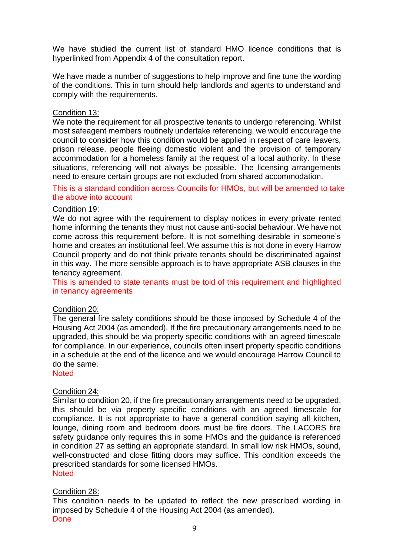We have studied the current list of standard HMO licence conditions that is hyperlinked from Appendix 4 of the consultation report.

We have made a number of suggestions to help improve and fine tune the wording of the conditions. This in turn should help landlords and agents to understand and comply with the requirements.

## Condition 13:

We note the requirement for all prospective tenants to undergo referencing. Whilst most safeagent members routinely undertake referencing, we would encourage the council to consider how this condition would be applied in respect of care leavers, prison release, people fleeing domestic violent and the provision of temporary accommodation for a homeless family at the request of a local authority. In these situations, referencing will not always be possible. The licensing arrangements need to ensure certain groups are not excluded from shared accommodation.

This is a standard condition across Councils for HMOs, but will be amended to take the above into account

## Condition 19:

We do not agree with the requirement to display notices in every private rented home informing the tenants they must not cause anti-social behaviour. We have not come across this requirement before. It is not something desirable in someone's home and creates an institutional feel. We assume this is not done in every Harrow Council property and do not think private tenants should be discriminated against in this way. The more sensible approach is to have appropriate ASB clauses in the tenancy agreement.

This is amended to state tenants must be told of this requirement and highlighted in tenancy agreements

# Condition 20:

The general fire safety conditions should be those imposed by Schedule 4 of the Housing Act 2004 (as amended). If the fire precautionary arrangements need to be upgraded, this should be via property specific conditions with an agreed timescale for compliance. In our experience, councils often insert property specific conditions in a schedule at the end of the licence and we would encourage Harrow Council to do the same.

**Noted** 

#### Condition 24:

Similar to condition 20, if the fire precautionary arrangements need to be upgraded, this should be via property specific conditions with an agreed timescale for compliance. It is not appropriate to have a general condition saying all kitchen, lounge, dining room and bedroom doors must be fire doors. The LACORS fire safety guidance only requires this in some HMOs and the guidance is referenced in condition 27 as setting an appropriate standard. In small low risk HMOs, sound, well-constructed and close fitting doors may suffice. This condition exceeds the prescribed standards for some licensed HMOs. **Noted** 

# Condition 28:

This condition needs to be updated to reflect the new prescribed wording in imposed by Schedule 4 of the Housing Act 2004 (as amended). Done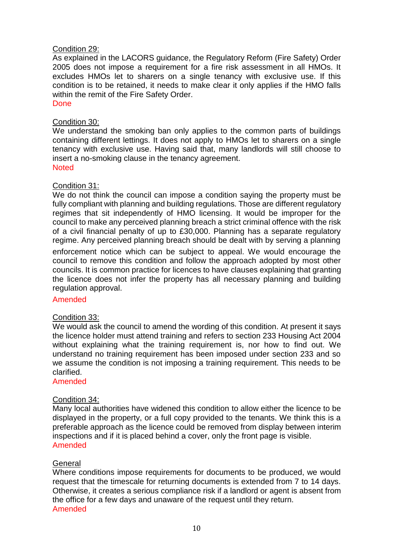# Condition 29:

As explained in the LACORS guidance, the Regulatory Reform (Fire Safety) Order 2005 does not impose a requirement for a fire risk assessment in all HMOs. It excludes HMOs let to sharers on a single tenancy with exclusive use. If this condition is to be retained, it needs to make clear it only applies if the HMO falls within the remit of the Fire Safety Order.

Done

# Condition 30:

We understand the smoking ban only applies to the common parts of buildings containing different lettings. It does not apply to HMOs let to sharers on a single tenancy with exclusive use. Having said that, many landlords will still choose to insert a no-smoking clause in the tenancy agreement. **Noted** 

# Condition 31:

We do not think the council can impose a condition saying the property must be fully compliant with planning and building regulations. Those are different regulatory regimes that sit independently of HMO licensing. It would be improper for the council to make any perceived planning breach a strict criminal offence with the risk of a civil financial penalty of up to £30,000. Planning has a separate regulatory regime. Any perceived planning breach should be dealt with by serving a planning enforcement notice which can be subject to appeal. We would encourage the council to remove this condition and follow the approach adopted by most other councils. It is common practice for licences to have clauses explaining that granting the licence does not infer the property has all necessary planning and building regulation approval.

# Amended

# Condition 33:

We would ask the council to amend the wording of this condition. At present it says the licence holder must attend training and refers to section 233 Housing Act 2004 without explaining what the training requirement is, nor how to find out. We understand no training requirement has been imposed under section 233 and so we assume the condition is not imposing a training requirement. This needs to be clarified.

#### Amended

# Condition 34:

Many local authorities have widened this condition to allow either the licence to be displayed in the property, or a full copy provided to the tenants. We think this is a preferable approach as the licence could be removed from display between interim inspections and if it is placed behind a cover, only the front page is visible. Amended

# **General**

Where conditions impose requirements for documents to be produced, we would request that the timescale for returning documents is extended from 7 to 14 days. Otherwise, it creates a serious compliance risk if a landlord or agent is absent from the office for a few days and unaware of the request until they return. Amended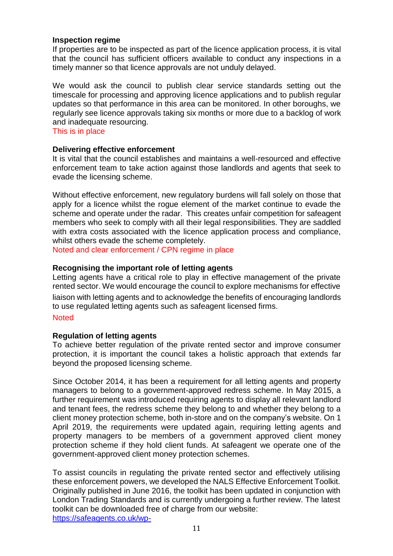## **Inspection regime**

If properties are to be inspected as part of the licence application process, it is vital that the council has sufficient officers available to conduct any inspections in a timely manner so that licence approvals are not unduly delayed.

We would ask the council to publish clear service standards setting out the timescale for processing and approving licence applications and to publish regular updates so that performance in this area can be monitored. In other boroughs, we regularly see licence approvals taking six months or more due to a backlog of work and inadequate resourcing.

This is in place

## **Delivering effective enforcement**

It is vital that the council establishes and maintains a well-resourced and effective enforcement team to take action against those landlords and agents that seek to evade the licensing scheme.

Without effective enforcement, new regulatory burdens will fall solely on those that apply for a licence whilst the rogue element of the market continue to evade the scheme and operate under the radar. This creates unfair competition for safeagent members who seek to comply with all their legal responsibilities. They are saddled with extra costs associated with the licence application process and compliance, whilst others evade the scheme completely.

Noted and clear enforcement / CPN regime in place

# **Recognising the important role of letting agents**

Letting agents have a critical role to play in effective management of the private rented sector. We would encourage the council to explore mechanisms for effective liaison with letting agents and to acknowledge the benefits of encouraging landlords to use regulated letting agents such as safeagent licensed firms.

#### **Noted**

# **Regulation of letting agents**

To achieve better regulation of the private rented sector and improve consumer protection, it is important the council takes a holistic approach that extends far beyond the proposed licensing scheme.

Since October 2014, it has been a requirement for all letting agents and property managers to belong to a government-approved redress scheme. In May 2015, a further requirement was introduced requiring agents to display all relevant landlord and tenant fees, the redress scheme they belong to and whether they belong to a client money protection scheme, both in-store and on the company's website. On 1 April 2019, the requirements were updated again, requiring letting agents and property managers to be members of a government approved client money protection scheme if they hold client funds. At safeagent we operate one of the government-approved client money protection schemes.

To assist councils in regulating the private rented sector and effectively utilising these enforcement powers, we developed the NALS Effective Enforcement Toolkit. Originally published in June 2016, the toolkit has been updated in conjunction with London Trading Standards and is currently undergoing a further review. The latest toolkit can be downloaded free of charge from our website: https://safeagents.co.uk/wp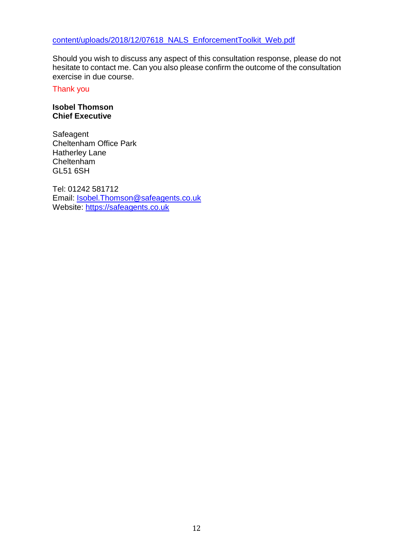Should you wish to discuss any aspect of this consultation response, please do not hesitate to contact me. Can you also please confirm the outcome of the consultation exercise in due course.

Thank you

## **Isobel Thomson Chief Executive**

**Safeagent** Cheltenham Office Park Hatherley Lane Cheltenham GL51 6SH

Tel: 01242 581712 Email: [Isobel.Thomson@safeagents.co.uk](mailto:Isobel.Thomson@safeagents.co.uk) Website: [https://safeagents.co.uk](https://safeagents.co.uk/)